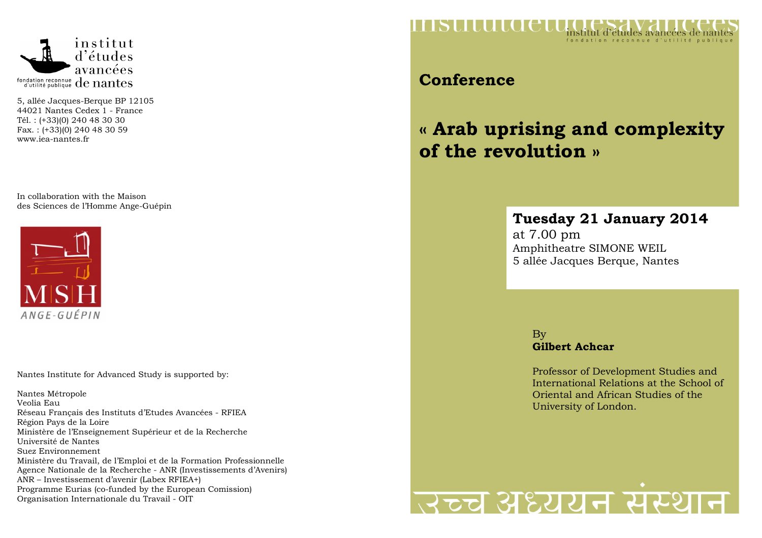

5, allée Jacques-Berque BP 12105 44021 Nantes Cedex 1 - France Tél. : (+33)(0) 240 48 30 30 Fax. : (+33)(0) 240 48 30 59 www.iea-nantes.fr

In collaboration with the Maison des Sciences de l'Homme Ange-Guépin



Nantes Institute for Advanced Study is supported by:

Nantes Métropole Veolia Eau Réseau Français des Instituts d'Etudes Avancées - RFIEA Région Pays de la Loire Ministère de l'Enseignement Supérieur et de la Recherche Université de Nantes Suez Environnement Ministère du Travail, de l'Emploi et de la Formation Professionnelle Agence Nationale de la Recherche - ANR (Investissements d'Avenirs) ANR – Investissement d'avenir (Labex RFIEA+) Programme Eurias (co-funded by the European Comission) Organisation Internationale du Travail - OIT



### **Conference**

## **« Arab uprising and complexity of the revolution »**

#### **Tuesday 21 January 2014**

at 7.00 pm Amphitheatre SIMONE WEIL 5 allée Jacques Berque, Nantes

> By**Gilbert Achcar**

Professor of Development Studies and International Relations at the School of Oriental and African Studies of the University of London.

# त्रच्च अध्ययन संस्था